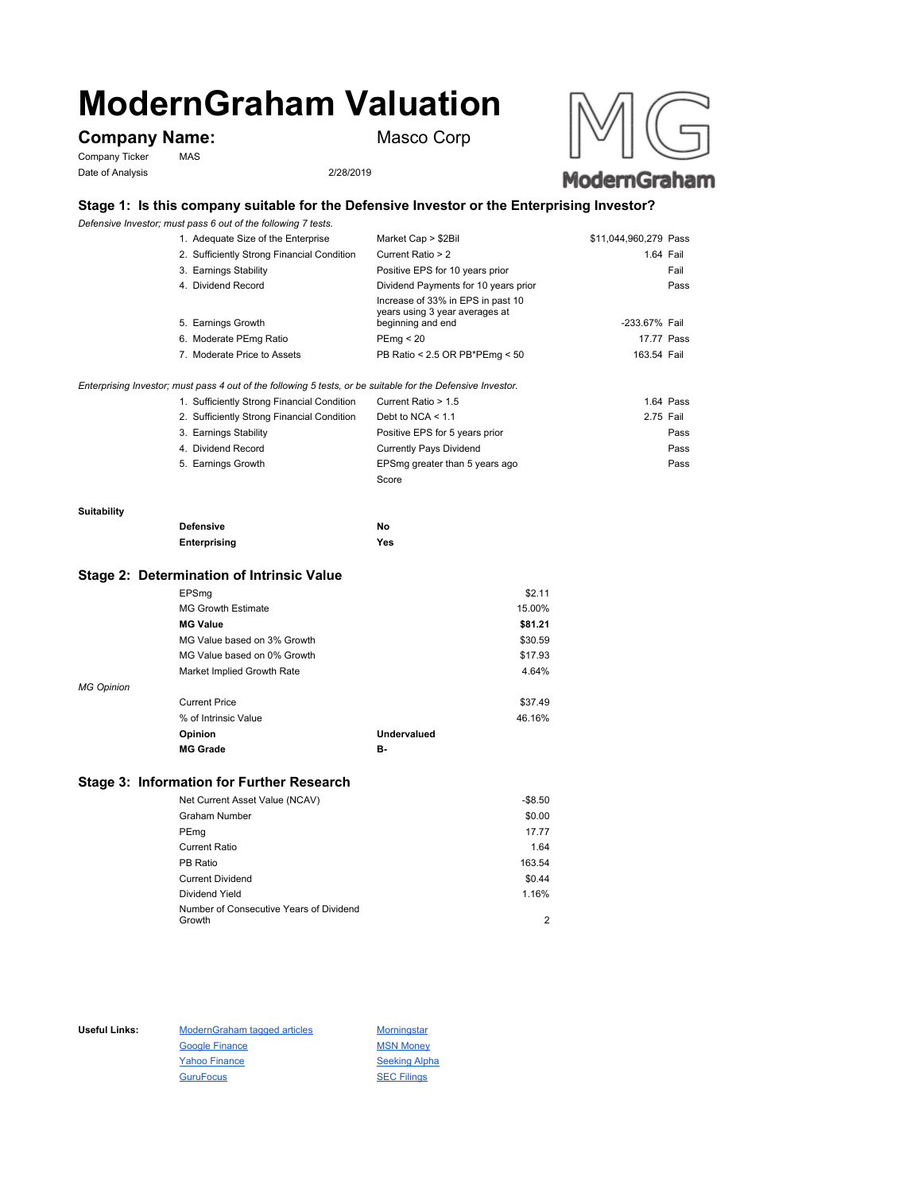# **ModernGraham Valuation**

# **Company Name:** Masco Corp

Company Ticker MAS Date of Analysis 2/28/2019



# ModernGraham

# **Stage 1: Is this company suitable for the Defensive Investor or the Enterprising Investor?**

*Defensive Investor; must pass 6 out of the following 7 tests.*

| 1. Adequate Size of the Enterprise         | Market Cap > \$2Bil                                                                      | \$11,044,960,279 Pass |      |
|--------------------------------------------|------------------------------------------------------------------------------------------|-----------------------|------|
| 2. Sufficiently Strong Financial Condition | Current Ratio > 2                                                                        | 1.64 Fail             |      |
| 3. Earnings Stability                      | Positive EPS for 10 years prior                                                          | Fail                  |      |
| 4. Dividend Record                         | Dividend Payments for 10 years prior                                                     |                       | Pass |
| 5. Earnings Growth                         | Increase of 33% in EPS in past 10<br>years using 3 year averages at<br>beginning and end | -233.67% Fail         |      |
| 6. Moderate PEmg Ratio                     | PEmq < 20                                                                                | 17.77 Pass            |      |
| 7. Moderate Price to Assets                | PB Ratio < 2.5 OR PB*PEmg < 50                                                           | 163.54 Fail           |      |
|                                            |                                                                                          |                       |      |

#### *Enterprising Investor; must pass 4 out of the following 5 tests, or be suitable for the Defensive Investor.*

| 1. Sufficiently Strong Financial Condition | Current Ratio > 1.5            | 1.64 Pass |
|--------------------------------------------|--------------------------------|-----------|
| 2. Sufficiently Strong Financial Condition | Debt to NCA $<$ 1.1            | 2.75 Fail |
| 3. Earnings Stability                      | Positive EPS for 5 years prior | Pass      |
| 4. Dividend Record                         | <b>Currently Pays Dividend</b> | Pass      |
| 5. Earnings Growth                         | EPSmg greater than 5 years ago | Pass      |
|                                            | Score                          |           |

#### **Suitability**

| <b>Defensive</b> | No  |
|------------------|-----|
| Enterprising     | Yes |

#### **Stage 2: Determination of Intrinsic Value**

|                   | EPSmg                       |                    | \$2.11  |
|-------------------|-----------------------------|--------------------|---------|
|                   | <b>MG Growth Estimate</b>   |                    | 15.00%  |
|                   | <b>MG Value</b>             |                    | \$81.21 |
|                   | MG Value based on 3% Growth |                    | \$30.59 |
|                   | MG Value based on 0% Growth |                    | \$17.93 |
|                   | Market Implied Growth Rate  |                    | 4.64%   |
| <b>MG Opinion</b> |                             |                    |         |
|                   | <b>Current Price</b>        |                    | \$37.49 |
|                   | % of Intrinsic Value        |                    | 46.16%  |
|                   | Opinion                     | <b>Undervalued</b> |         |
|                   | <b>MG Grade</b>             | в.                 |         |
|                   |                             |                    |         |

## **Stage 3: Information for Further Research**

| Net Current Asset Value (NCAV)          | $-$8.50$ |
|-----------------------------------------|----------|
| Graham Number                           | \$0.00   |
| PEmg                                    | 17.77    |
| Current Ratio                           | 1.64     |
| PB Ratio                                | 163.54   |
| <b>Current Dividend</b>                 | \$0.44   |
| Dividend Yield                          | 1.16%    |
| Number of Consecutive Years of Dividend |          |
| Growth                                  | 2        |

Useful Links: ModernGraham tagged articles Morningstar Google Finance MSN Money Yahoo Finance Seeking Alpha GuruFocus SEC Filings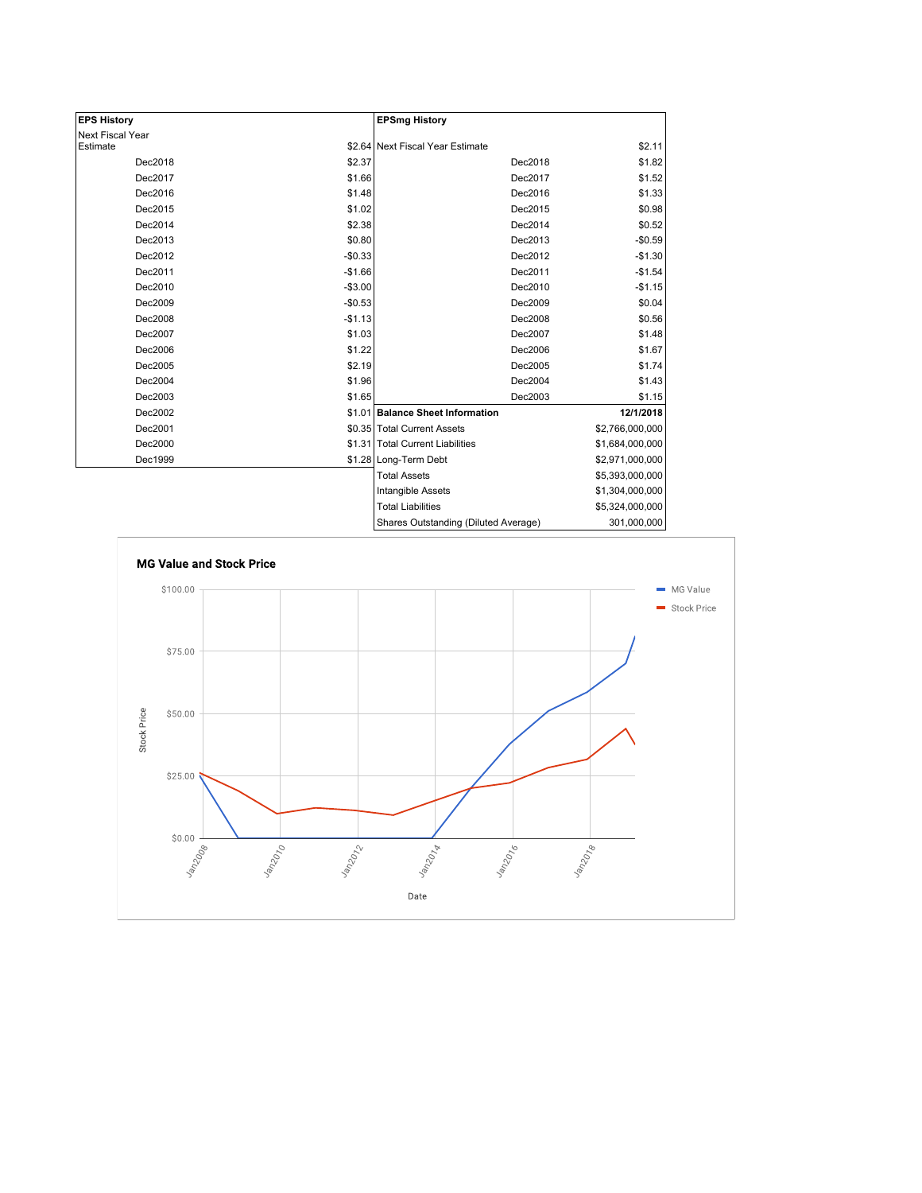| <b>EPS History</b> |          | <b>EPSmg History</b>                 |                 |
|--------------------|----------|--------------------------------------|-----------------|
| Next Fiscal Year   |          |                                      |                 |
| Estimate           |          | \$2.64 Next Fiscal Year Estimate     | \$2.11          |
| Dec2018            | \$2.37   | Dec2018                              | \$1.82          |
| Dec2017            | \$1.66   | Dec2017                              | \$1.52          |
| Dec2016            | \$1.48   | Dec2016                              | \$1.33          |
| Dec2015            | \$1.02   | Dec2015                              | \$0.98          |
| Dec2014            | \$2.38   | Dec2014                              | \$0.52          |
| Dec2013            | \$0.80   | Dec2013                              | $-$0.59$        |
| Dec2012            | $-$0.33$ | Dec2012                              | $-$1.30$        |
| Dec2011            | $-$1.66$ | Dec2011                              | $-$1.54$        |
| Dec2010            | $-$3.00$ | Dec2010                              | $-$1.15$        |
| Dec2009            | $-$0.53$ | Dec2009                              | \$0.04          |
| Dec2008            | $-$1.13$ | Dec2008                              | \$0.56          |
| Dec2007            | \$1.03   | Dec2007                              | \$1.48          |
| Dec2006            | \$1.22   | Dec2006                              | \$1.67          |
| Dec2005            | \$2.19   | Dec2005                              | \$1.74          |
| Dec2004            | \$1.96   | Dec2004                              | \$1.43          |
| Dec2003            | \$1.65   | Dec2003                              | \$1.15          |
| Dec2002            |          | \$1.01 Balance Sheet Information     | 12/1/2018       |
| Dec2001            |          | \$0.35 Total Current Assets          | \$2,766,000,000 |
| Dec2000            |          | \$1.31 Total Current Liabilities     | \$1,684,000,000 |
| Dec1999            |          | \$1.28 Long-Term Debt                | \$2,971,000,000 |
|                    |          | <b>Total Assets</b>                  | \$5,393,000,000 |
|                    |          | Intangible Assets                    | \$1,304,000,000 |
|                    |          | <b>Total Liabilities</b>             | \$5,324,000,000 |
|                    |          | Shares Outstanding (Diluted Average) | 301.000.000 l   |